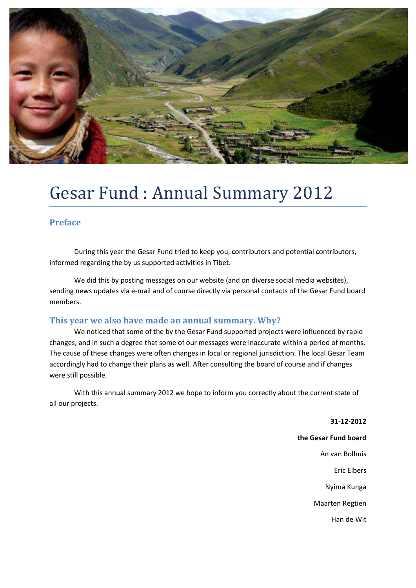

## Gesar Fund : Annual Summary 2012

### **Preface**

 During this year the Gesar Fund tried to keep you, **c**ontributors and potential **c**ontributors, informed regarding the by us supported activities in Tibet.

 We did this by posting messages on our website (and on diverse social media websites), sending news updates via e-mail and of course directly via personal contacts of the Gesar Fund board members.

### **This year we also have made an annual summary. Why?**

 We noticed that some of the by the Gesar Fund supported projects were influenced by rapid changes, and in such a degree that some of our messages were inaccurate within a period of months. The cause of these changes were often changes in local or regional jurisdiction. The local Gesar Team accordingly had to change their plans as well. After consulting the board of course and if changes were still possible.

 With this annual summary 2012 we hope to inform you correctly about the current state of all our projects.

**31-12-2012** 

**the Gesar Fund board**

An van Bolhuis

Eric Elbers

Nyima Kunga

Maarten Regtien

Han de Wit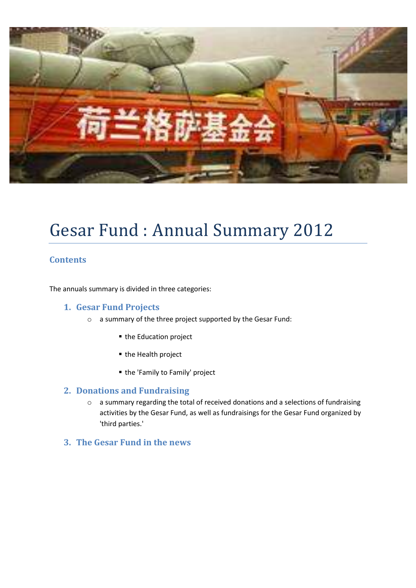

## Gesar Fund : Annual Summary 2012

### **Contents**

The annuals summary is divided in three categories:

### **1. Gesar Fund Projects**

- o a summary of the three project supported by the Gesar Fund:
	- the Education project
	- the Health project
	- the 'Family to Family' project

#### **2. Donations and Fundraising**

- o a summary regarding the total of received donations and a selections of fundraising activities by the Gesar Fund, as well as fundraisings for the Gesar Fund organized by 'third parties.'
- **3. The Gesar Fund in the news**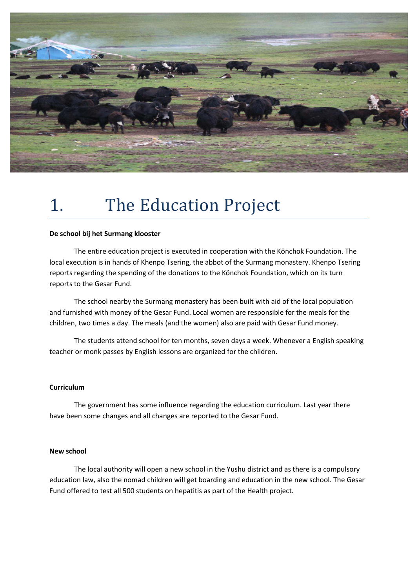

## 1. The Education Project

#### **De school bij het Surmang klooster**

 The entire education project is executed in cooperation with the Könchok Foundation. The local execution is in hands of Khenpo Tsering, the abbot of the Surmang monastery. Khenpo Tsering reports regarding the spending of the donations to the Könchok Foundation, which on its turn reports to the Gesar Fund.

 The school nearby the Surmang monastery has been built with aid of the local population and furnished with money of the Gesar Fund. Local women are responsible for the meals for the children, two times a day. The meals (and the women) also are paid with Gesar Fund money.

 The students attend school for ten months, seven days a week. Whenever a English speaking teacher or monk passes by English lessons are organized for the children.

#### **Curriculum**

 The government has some influence regarding the education curriculum. Last year there have been some changes and all changes are reported to the Gesar Fund.

#### **New school**

 The local authority will open a new school in the Yushu district and as there is a compulsory education law, also the nomad children will get boarding and education in the new school. The Gesar Fund offered to test all 500 students on hepatitis as part of the Health project.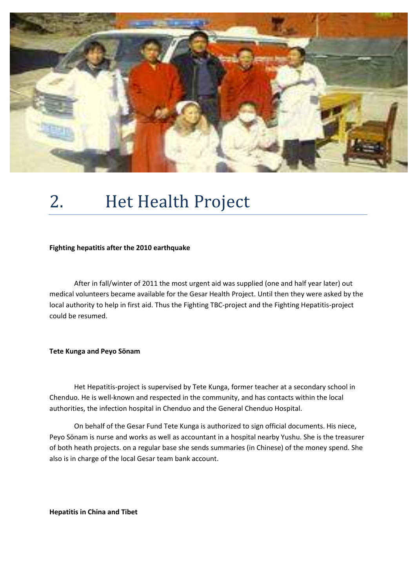

# 2. Het Health Project

#### **Fighting hepatitis after the 2010 earthquake**

 After in fall/winter of 2011 the most urgent aid was supplied (one and half year later) out medical volunteers became available for the Gesar Health Project. Until then they were asked by the local authority to help in first aid. Thus the Fighting TBC-project and the Fighting Hepatitis-project could be resumed.

#### **Tete Kunga and Peyo Sönam**

 Het Hepatitis-project is supervised by Tete Kunga, former teacher at a secondary school in Chenduo. He is well-known and respected in the community, and has contacts within the local authorities, the infection hospital in Chenduo and the General Chenduo Hospital.

 On behalf of the Gesar Fund Tete Kunga is authorized to sign official documents. His niece, Peyo Sönam is nurse and works as well as accountant in a hospital nearby Yushu. She is the treasurer of both heath projects. on a regular base she sends summaries (in Chinese) of the money spend. She also is in charge of the local Gesar team bank account.

**Hepatitis in China and Tibet**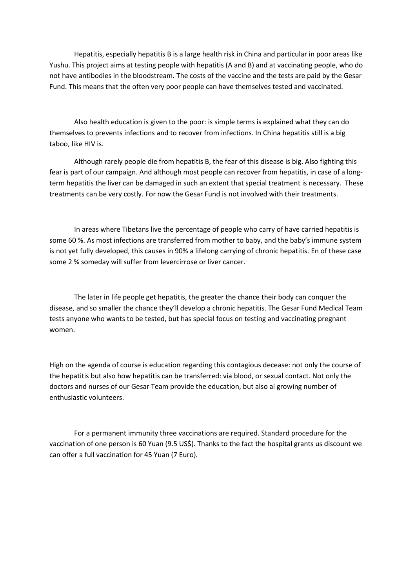Hepatitis, especially hepatitis B is a large health risk in China and particular in poor areas like Yushu. This project aims at testing people with hepatitis (A and B) and at vaccinating people, who do not have antibodies in the bloodstream. The costs of the vaccine and the tests are paid by the Gesar Fund. This means that the often very poor people can have themselves tested and vaccinated.

 Also health education is given to the poor: is simple terms is explained what they can do themselves to prevents infections and to recover from infections. In China hepatitis still is a big taboo, like HIV is.

 Although rarely people die from hepatitis B, the fear of this disease is big. Also fighting this fear is part of our campaign. And although most people can recover from hepatitis, in case of a longterm hepatitis the liver can be damaged in such an extent that special treatment is necessary. These treatments can be very costly. For now the Gesar Fund is not involved with their treatments.

 In areas where Tibetans live the percentage of people who carry of have carried hepatitis is some 60 %. As most infections are transferred from mother to baby, and the baby's immune system is not yet fully developed, this causes in 90% a lifelong carrying of chronic hepatitis. En of these case some 2 % someday will suffer from levercirrose or liver cancer.

 The later in life people get hepatitis, the greater the chance their body can conquer the disease, and so smaller the chance they'll develop a chronic hepatitis. The Gesar Fund Medical Team tests anyone who wants to be tested, but has special focus on testing and vaccinating pregnant women.

High on the agenda of course is education regarding this contagious decease: not only the course of the hepatitis but also how hepatitis can be transferred: via blood, or sexual contact. Not only the doctors and nurses of our Gesar Team provide the education, but also al growing number of enthusiastic volunteers.

 For a permanent immunity three vaccinations are required. Standard procedure for the vaccination of one person is 60 Yuan (9.5 US\$). Thanks to the fact the hospital grants us discount we can offer a full vaccination for 45 Yuan (7 Euro).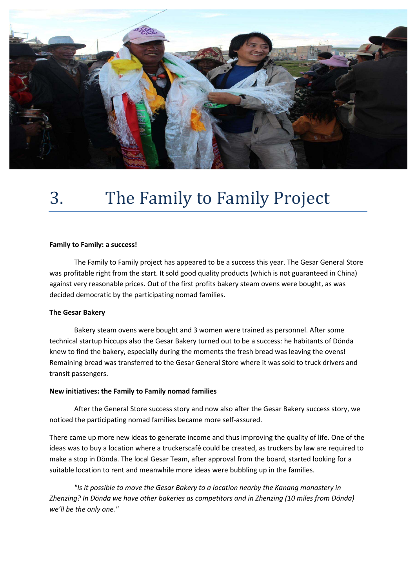

# 3. The Family to Family Project

#### **Family to Family: a success!**

 The Family to Family project has appeared to be a success this year. The Gesar General Store was profitable right from the start. It sold good quality products (which is not guaranteed in China) against very reasonable prices. Out of the first profits bakery steam ovens were bought, as was decided democratic by the participating nomad families.

#### **The Gesar Bakery**

 Bakery steam ovens were bought and 3 women were trained as personnel. After some technical startup hiccups also the Gesar Bakery turned out to be a success: he habitants of Dönda knew to find the bakery, especially during the moments the fresh bread was leaving the ovens! Remaining bread was transferred to the Gesar General Store where it was sold to truck drivers and transit passengers.

#### **New initiatives: the Family to Family nomad families**

 After the General Store success story and now also after the Gesar Bakery success story, we noticed the participating nomad families became more self-assured.

There came up more new ideas to generate income and thus improving the quality of life. One of the ideas was to buy a location where a truckerscafé could be created, as truckers by law are required to make a stop in Dönda. The local Gesar Team, after approval from the board, started looking for a suitable location to rent and meanwhile more ideas were bubbling up in the families.

*"Is it possible to move the Gesar Bakery to a location nearby the Kanang monastery in Zhenzing? In Dönda we have other bakeries as competitors and in Zhenzing (10 miles from Dönda) we'll be the only one."*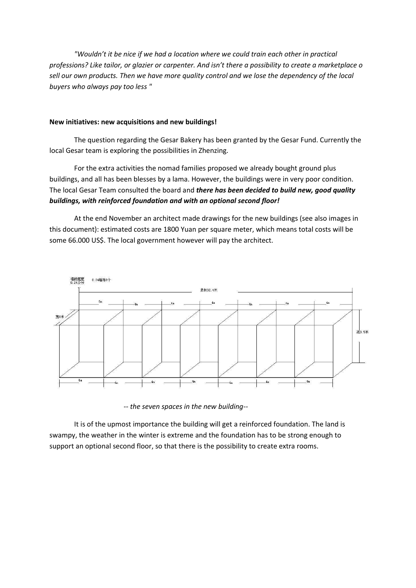*"Wouldn't it be nice if we had a location where we could train each other in practical professions? Like tailor, or glazier or carpenter. And isn't there a possibility to create a marketplace o sell our own products. Then we have more quality control and we lose the dependency of the local buyers who always pay too less "* 

#### **New initiatives: new acquisitions and new buildings!**

 The question regarding the Gesar Bakery has been granted by the Gesar Fund. Currently the local Gesar team is exploring the possibilities in Zhenzing.

 For the extra activities the nomad families proposed we already bought ground plus buildings, and all has been blesses by a lama. However, the buildings were in very poor condition. The local Gesar Team consulted the board and *there has been decided to build new, good quality buildings, with reinforced foundation and with an optional second floor!*

 At the end November an architect made drawings for the new buildings (see also images in this document): estimated costs are 1800 Yuan per square meter, which means total costs will be some 66.000 US\$. The local government however will pay the architect.



 *-- the seven spaces in the new building--*

 It is of the upmost importance the building will get a reinforced foundation. The land is swampy, the weather in the winter is extreme and the foundation has to be strong enough to support an optional second floor, so that there is the possibility to create extra rooms.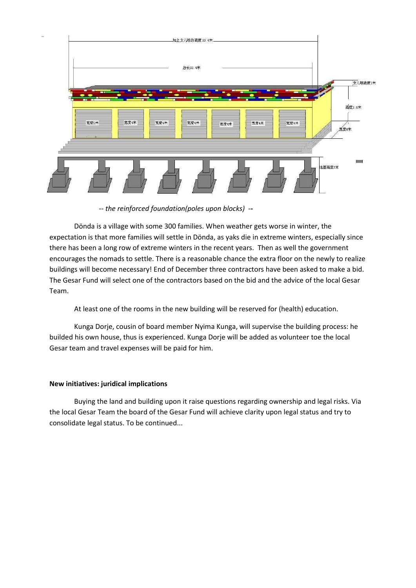

 *-- the reinforced foundation(poles upon blocks) --* 

 Dönda is a village with some 300 families. When weather gets worse in winter, the expectation is that more families will settle in Dönda, as yaks die in extreme winters, especially since there has been a long row of extreme winters in the recent years. Then as well the government encourages the nomads to settle. There is a reasonable chance the extra floor on the newly to realize buildings will become necessary! End of December three contractors have been asked to make a bid. The Gesar Fund will select one of the contractors based on the bid and the advice of the local Gesar Team.

At least one of the rooms in the new building will be reserved for (health) education.

 Kunga Dorje, cousin of board member Nyima Kunga, will supervise the building process: he builded his own house, thus is experienced. Kunga Dorje will be added as volunteer toe the local Gesar team and travel expenses will be paid for him.

#### **New initiatives: juridical implications**

 Buying the land and building upon it raise questions regarding ownership and legal risks. Via the local Gesar Team the board of the Gesar Fund will achieve clarity upon legal status and try to consolidate legal status. To be continued...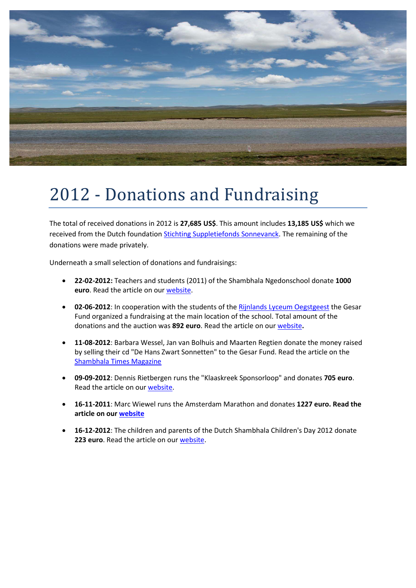

## 2012 - Donations and Fundraising

The total of received donations in 2012 is **27,685 US\$**. This amount includes **13,185 US\$** which we received from the Dutch foundation [Stichting Suppletiefonds Sonnevanck.](http://sonnevanck.weebly.com/suppletiefonds.html) The remaining of the donations were made privately.

Underneath a small selection of donations and fundraisings:

- **22-02-2012:** Teachers and students (2011) of the Shambhala Ngedonschool donate **1000 euro**. Read the article on our [website.](http://gesarfund.nl/eng/nieuws.asp?sid=51)
- **02-06-2012**: In cooperation with the students of th[e Rijnlands Lyceum Oegstgeest t](http://www.rlo.nl/pro1/general/NL/home.asp?i=0&j=0&k=0&p=0&x=1)he Gesar Fund organized a fundraising at the main location of the school. Total amount of the donations and the auction was **892 euro**. Read the article on our [website](http://www.gesarfund.nl/nieuws.asp?sid=55)**.**
- **11-08-2012**: Barbara Wessel, Jan van Bolhuis and Maarten Regtien donate the money raised by selling their cd "De Hans Zwart Sonnetten" to the Gesar Fund. Read the article on the [Shambhala Times Magazine](http://shambhalatimes.org/nl/2012/12/31/musical-quintessence-and-breath/)
- **09-09-2012**: Dennis Rietbergen runs the "Klaaskreek Sponsorloop" and donates **705 euro**. Read the article on ou[r website.](http://gesarfund.nl/nieuws.asp?sid=59)
- **16-11-2011**: Marc Wiewel runs the Amsterdam Marathon and donates **1227 euro. Read the article on ou[r website](http://gesarfund.nl/eng/nieuws.asp?sid=54)**
- **16-12-2012**: The children and parents of the Dutch Shambhala Children's Day 2012 donate **223 euro**. Read the article on our [website.](http://gesarfund.nl/eng/nieuws.asp?sid=55)